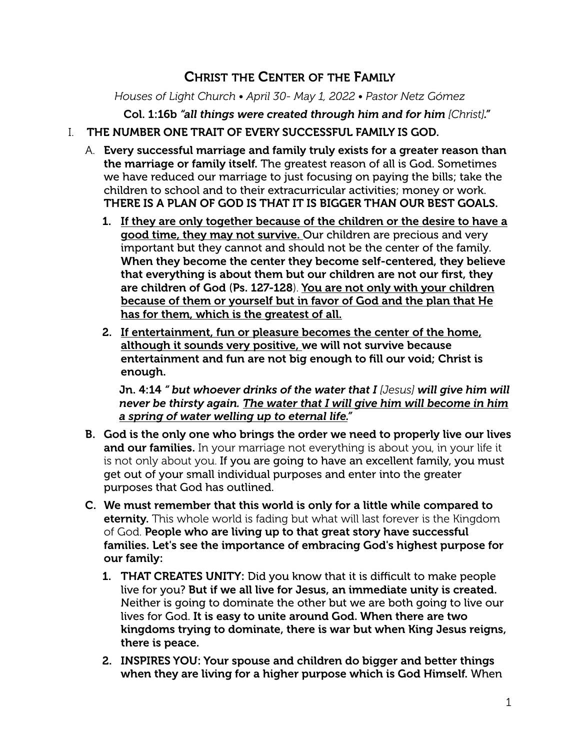# CHRIST THE CENTER OF THE FAMILY

*Houses of Light Church • April 30- May 1, 2022 • Pastor Netz Gómez*

Col. 1:16b *"all things were created through him and for him [Christ]."*

#### I. THE NUMBER ONE TRAIT OF EVERY SUCCESSFUL FAMILY IS GOD.

- A. Every successful marriage and family truly exists for a greater reason than the marriage or family itself. The greatest reason of all is God. Sometimes we have reduced our marriage to just focusing on paying the bills; take the children to school and to their extracurricular activities; money or work. THERE IS A PLAN OF GOD IS THAT IT IS BIGGER THAN OUR BEST GOALS.
	- 1. If they are only together because of the children or the desire to have a good time, they may not survive. Our children are precious and very important but they cannot and should not be the center of the family. When they become the center they become self-centered, they believe that everything is about them but our children are not our first, they are children of God (Ps. 127-128). You are not only with your children because of them or yourself but in favor of God and the plan that He has for them, which is the greatest of all.
	- 2. If entertainment, fun or pleasure becomes the center of the home, although it sounds very positive, we will not survive because entertainment and fun are not big enough to fill our void; Christ is enough.

Jn. 4:14 *" but whoever drinks of the water that I [Jesus] will give him will never be thirsty again. The water that I will give him will become in him a spring of water welling up to eternal life."*

- B. God is the only one who brings the order we need to properly live our lives and our families. In your marriage not everything is about you, in your life it is not only about you. If you are going to have an excellent family, you must get out of your small individual purposes and enter into the greater purposes that God has outlined.
- C. We must remember that this world is only for a little while compared to eternity. This whole world is fading but what will last forever is the Kingdom of God. People who are living up to that great story have successful families. Let's see the importance of embracing God's highest purpose for our family:
	- 1. THAT CREATES UNITY: Did you know that it is difficult to make people live for you? But if we all live for Jesus, an immediate unity is created. Neither is going to dominate the other but we are both going to live our lives for God. It is easy to unite around God. When there are two kingdoms trying to dominate, there is war but when King Jesus reigns, there is peace.
	- 2. INSPIRES YOU: Your spouse and children do bigger and better things when they are living for a higher purpose which is God Himself. When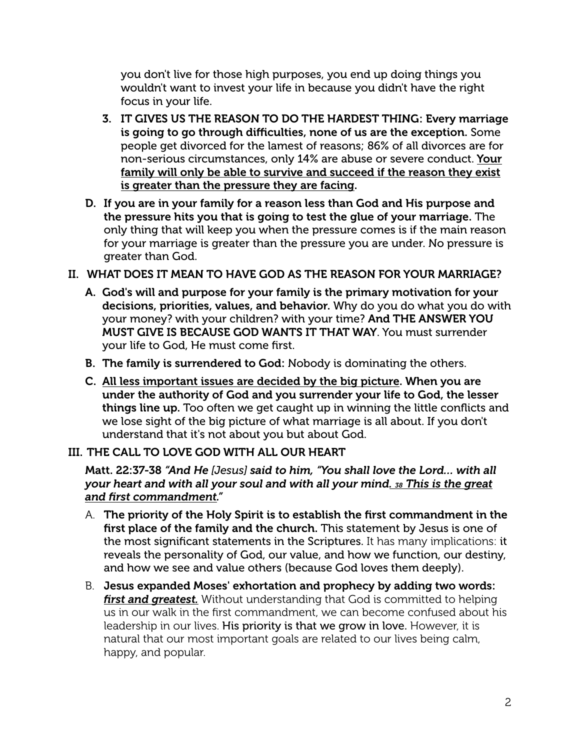you don't live for those high purposes, you end up doing things you wouldn't want to invest your life in because you didn't have the right focus in your life.

- 3. IT GIVES US THE REASON TO DO THE HARDEST THING: Every marriage is going to go through difficulties, none of us are the exception. Some people get divorced for the lamest of reasons; 86% of all divorces are for non-serious circumstances, only 14% are abuse or severe conduct. Your family will only be able to survive and succeed if the reason they exist is greater than the pressure they are facing.
- D. If you are in your family for a reason less than God and His purpose and the pressure hits you that is going to test the glue of your marriage. The only thing that will keep you when the pressure comes is if the main reason for your marriage is greater than the pressure you are under. No pressure is greater than God.

## II. WHAT DOES IT MEAN TO HAVE GOD AS THE REASON FOR YOUR MARRIAGE?

- A. God's will and purpose for your family is the primary motivation for your decisions, priorities, values, and behavior. Why do you do what you do with your money? with your children? with your time? And THE ANSWER YOU MUST GIVE IS BECAUSE GOD WANTS IT THAT WAY. You must surrender your life to God, He must come first.
- B. The family is surrendered to God: Nobody is dominating the others.
- C. All less important issues are decided by the big picture. When you are under the authority of God and you surrender your life to God, the lesser things line up. Too often we get caught up in winning the little conflicts and we lose sight of the big picture of what marriage is all about. If you don't understand that it's not about you but about God.

# III. THE CALL TO LOVE GOD WITH ALL OUR HEART

Matt. 22:37-38 *"And He [Jesus] said to him, "You shall love the Lord… with all your heart and with all your soul and with all your mind. 38 This is the great and first commandment."*

- A. The priority of the Holy Spirit is to establish the first commandment in the first place of the family and the church. This statement by Jesus is one of the most significant statements in the Scriptures. It has many implications: it reveals the personality of God, our value, and how we function, our destiny, and how we see and value others (because God loves them deeply).
- B. Jesus expanded Moses' exhortation and prophecy by adding two words: *first and greatest.* Without understanding that God is committed to helping us in our walk in the first commandment, we can become confused about his leadership in our lives. His priority is that we grow in love. However, it is natural that our most important goals are related to our lives being calm, happy, and popular.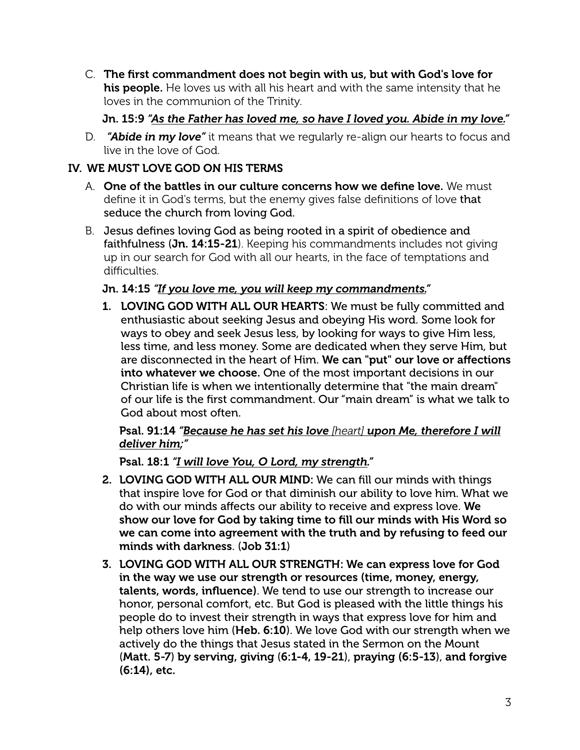C. The first commandment does not begin with us, but with God's love for his people. He loves us with all his heart and with the same intensity that he loves in the communion of the Trinity.

#### Jn. 15:9 *"As the Father has loved me, so have I loved you. Abide in my love."*

D. *"Abide in my love"* it means that we regularly re-align our hearts to focus and live in the love of God.

# IV. WE MUST LOVE GOD ON HIS TERMS

- A. One of the battles in our culture concerns how we define love. We must define it in God's terms, but the enemy gives false definitions of love that seduce the church from loving God.
- B. Jesus defines loving God as being rooted in a spirit of obedience and faithfulness (Jn. 14:15-21). Keeping his commandments includes not giving up in our search for God with all our hearts, in the face of temptations and difficulties.

## Jn. 14:15 *"If you love me, you will keep my commandments."*

1. LOVING GOD WITH ALL OUR HEARTS: We must be fully committed and enthusiastic about seeking Jesus and obeying His word. Some look for ways to obey and seek Jesus less, by looking for ways to give Him less, less time, and less money. Some are dedicated when they serve Him, but are disconnected in the heart of Him. We can "put" our love or affections into whatever we choose. One of the most important decisions in our Christian life is when we intentionally determine that "the main dream" of our life is the first commandment. Our "main dream" is what we talk to God about most often.

#### Psal. 91:14 *"Because he has set his love [heart] upon Me, therefore I will deliver him;"*

Psal. 18:1 *"I will love You, O Lord, my strength."*

- 2. LOVING GOD WITH ALL OUR MIND: We can fill our minds with things that inspire love for God or that diminish our ability to love him. What we do with our minds affects our ability to receive and express love. We show our love for God by taking time to fill our minds with His Word so we can come into agreement with the truth and by refusing to feed our minds with darkness. (Job 31:1)
- 3. LOVING GOD WITH ALL OUR STRENGTH: We can express love for God in the way we use our strength or resources (time, money, energy, talents, words, influence). We tend to use our strength to increase our honor, personal comfort, etc. But God is pleased with the little things his people do to invest their strength in ways that express love for him and help others love him (Heb. 6:10). We love God with our strength when we actively do the things that Jesus stated in the Sermon on the Mount (Matt. 5-7) by serving, giving (6:1-4, 19-21), praying (6:5-13), and forgive (6:14), etc.